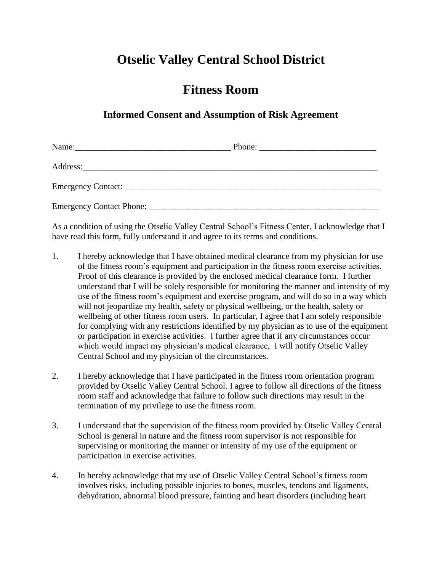## **Otselic Valley Central School District**

## **Fitness Room**

## **Informed Consent and Assumption of Risk Agreement**

| Phone: $\frac{1}{\sqrt{1-\frac{1}{2}} \cdot \frac{1}{2}}$ |  |
|-----------------------------------------------------------|--|
|                                                           |  |
|                                                           |  |
|                                                           |  |

As a condition of using the Otselic Valley Central School's Fitness Center, I acknowledge that I have read this form, fully understand it and agree to its terms and conditions.

- 1. I hereby acknowledge that I have obtained medical clearance from my physician for use of the fitness room's equipment and participation in the fitness room exercise activities. Proof of this clearance is provided by the enclosed medical clearance form. I further understand that I will be solely responsible for monitoring the manner and intensity of my use of the fitness room's equipment and exercise program, and will do so in a way which will not jeopardize my health, safety or physical wellbeing, or the health, safety or wellbeing of other fitness room users. In particular, I agree that I am solely responsible for complying with any restrictions identified by my physician as to use of the equipment or participation in exercise activities. I further agree that if any circumstances occur which would impact my physician's medical clearance, I will notify Otselic Valley Central School and my physician of the circumstances.
- 2. I hereby acknowledge that I have participated in the fitness room orientation program provided by Otselic Valley Central School. I agree to follow all directions of the fitness room staff and acknowledge that failure to follow such directions may result in the termination of my privilege to use the fitness room.
- 3. I understand that the supervision of the fitness room provided by Otselic Valley Central School is general in nature and the fitness room supervisor is not responsible for supervising or monitoring the manner or intensity of my use of the equipment or participation in exercise activities.
- 4. In hereby acknowledge that my use of Otselic Valley Central School's fitness room involves risks, including possible injuries to bones, muscles, tendons and ligaments, dehydration, abnormal blood pressure, fainting and heart disorders (including heart